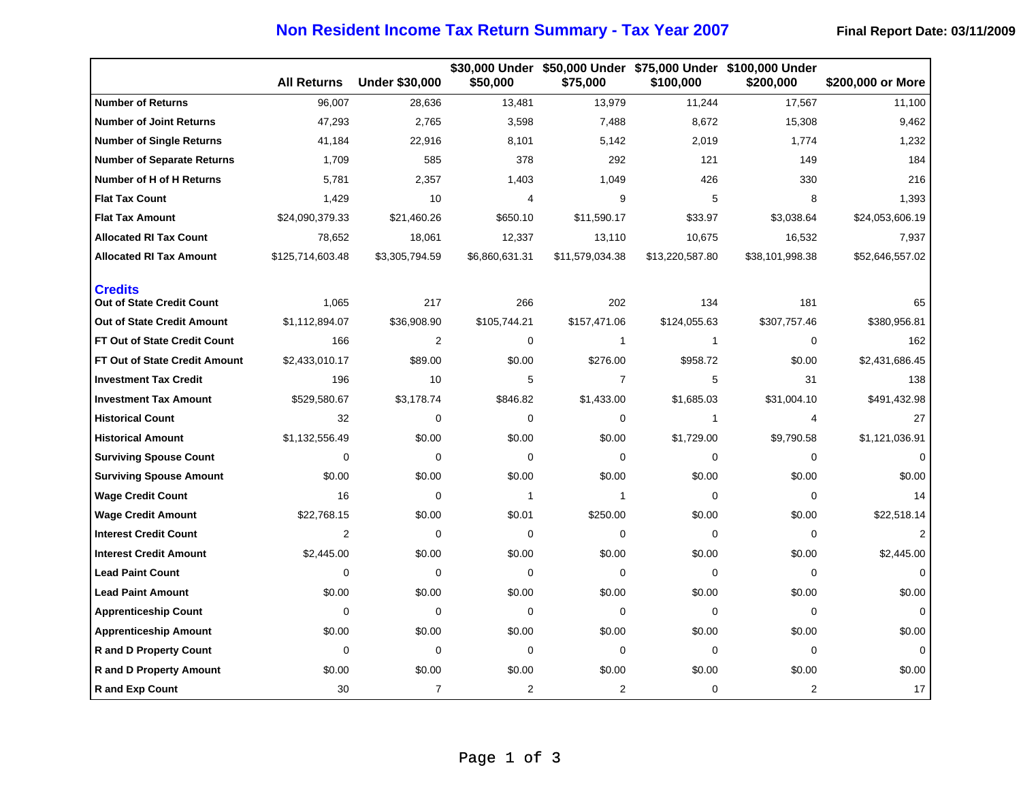## **Non Resident Income Tax Return Summary - Tax Year 2007** Final Report Date: 03/11/2009

|                                                    | <b>All Returns</b> | <b>Under \$30,000</b> | \$50,000       | \$75,000        | \$100,000       | \$30,000 Under \$50,000 Under \$75,000 Under \$100,000 Under<br>\$200,000 | \$200,000 or More |
|----------------------------------------------------|--------------------|-----------------------|----------------|-----------------|-----------------|---------------------------------------------------------------------------|-------------------|
| <b>Number of Returns</b>                           | 96,007             | 28,636                | 13,481         | 13,979          | 11,244          | 17,567                                                                    | 11,100            |
| <b>Number of Joint Returns</b>                     | 47,293             | 2,765                 | 3,598          | 7,488           | 8,672           | 15,308                                                                    | 9,462             |
| <b>Number of Single Returns</b>                    | 41,184             | 22,916                | 8,101          | 5,142           | 2,019           | 1,774                                                                     | 1,232             |
| <b>Number of Separate Returns</b>                  | 1,709              | 585                   | 378            | 292             | 121             | 149                                                                       | 184               |
| <b>Number of H of H Returns</b>                    | 5,781              | 2,357                 | 1,403          | 1,049           | 426             | 330                                                                       | 216               |
| <b>Flat Tax Count</b>                              | 1,429              | 10                    | 4              | 9               | 5               | 8                                                                         | 1,393             |
| <b>Flat Tax Amount</b>                             | \$24,090,379.33    | \$21,460.26           | \$650.10       | \$11,590.17     | \$33.97         | \$3,038.64                                                                | \$24,053,606.19   |
| <b>Allocated RI Tax Count</b>                      | 78,652             | 18,061                | 12,337         | 13,110          | 10,675          | 16,532                                                                    | 7,937             |
| <b>Allocated RI Tax Amount</b>                     | \$125,714,603.48   | \$3,305,794.59        | \$6,860,631.31 | \$11,579,034.38 | \$13,220,587.80 | \$38,101,998.38                                                           | \$52,646,557.02   |
| <b>Credits</b><br><b>Out of State Credit Count</b> | 1,065              | 217                   | 266            | 202             | 134             | 181                                                                       | 65                |
| Out of State Credit Amount                         | \$1,112,894.07     | \$36,908.90           | \$105,744.21   | \$157,471.06    | \$124,055.63    | \$307,757.46                                                              | \$380,956.81      |
| FT Out of State Credit Count                       | 166                | $\overline{2}$        | $\mathbf 0$    | $\mathbf{1}$    | $\mathbf{1}$    | 0                                                                         | 162               |
| <b>FT Out of State Credit Amount</b>               | \$2,433,010.17     | \$89.00               | \$0.00         | \$276.00        | \$958.72        | \$0.00                                                                    | \$2,431,686.45    |
| <b>Investment Tax Credit</b>                       | 196                | 10                    | 5              | $\overline{7}$  | 5               | 31                                                                        | 138               |
| <b>Investment Tax Amount</b>                       | \$529,580.67       | \$3,178.74            | \$846.82       | \$1,433.00      | \$1,685.03      | \$31,004.10                                                               | \$491,432.98      |
| <b>Historical Count</b>                            | 32                 | 0                     | $\mathbf 0$    | 0               | $\mathbf{1}$    | 4                                                                         | 27                |
| <b>Historical Amount</b>                           | \$1,132,556.49     | \$0.00                | \$0.00         | \$0.00          | \$1,729.00      | \$9,790.58                                                                | \$1,121,036.91    |
| <b>Surviving Spouse Count</b>                      | 0                  | 0                     | $\mathbf 0$    | $\mathbf 0$     | $\mathbf 0$     | 0                                                                         | 0                 |
| <b>Surviving Spouse Amount</b>                     | \$0.00             | \$0.00                | \$0.00         | \$0.00          | \$0.00          | \$0.00                                                                    | \$0.00            |
| <b>Wage Credit Count</b>                           | 16                 | 0                     | $\mathbf{1}$   | $\mathbf{1}$    | $\Omega$        | 0                                                                         | 14                |
| <b>Wage Credit Amount</b>                          | \$22,768.15        | \$0.00                | \$0.01         | \$250.00        | \$0.00          | \$0.00                                                                    | \$22,518.14       |
| <b>Interest Credit Count</b>                       | $\overline{2}$     | 0                     | 0              | 0               | $\Omega$        | 0                                                                         | 2                 |
| <b>Interest Credit Amount</b>                      | \$2,445.00         | \$0.00                | \$0.00         | \$0.00          | \$0.00          | \$0.00                                                                    | \$2,445.00        |
| <b>Lead Paint Count</b>                            | 0                  | 0                     | $\mathbf 0$    | 0               | $\mathbf 0$     | 0                                                                         | 0                 |
| <b>Lead Paint Amount</b>                           | \$0.00             | \$0.00                | \$0.00         | \$0.00          | \$0.00          | \$0.00                                                                    | \$0.00            |
| <b>Apprenticeship Count</b>                        | 0                  | 0                     | 0              | 0               | 0               | 0                                                                         | 0                 |
| <b>Apprenticeship Amount</b>                       | \$0.00             | \$0.00                | \$0.00         | \$0.00          | \$0.00          | \$0.00                                                                    | \$0.00            |
| <b>R</b> and D Property Count                      | 0                  | 0                     | $\mathbf 0$    | 0               | $\mathbf 0$     | 0                                                                         | 0                 |
| <b>R</b> and D Property Amount                     | \$0.00             | \$0.00                | \$0.00         | \$0.00          | \$0.00          | \$0.00                                                                    | \$0.00            |
| <b>R</b> and Exp Count                             | 30                 | $\overline{7}$        | 2              | 2               | 0               | $\overline{2}$                                                            | 17                |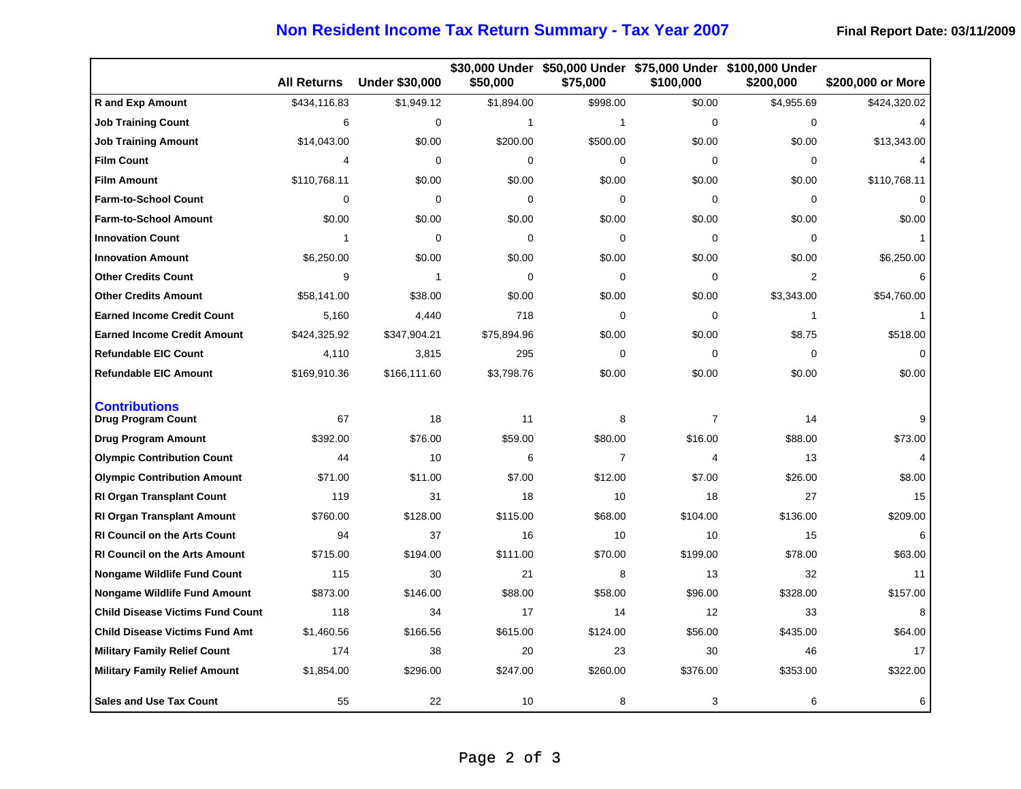## **Non Resident Income Tax Return Summary - Tax Year 2007** Final Report Date: 03/11/2009

|                                                   | <b>All Returns</b> | <b>Under \$30,000</b> | \$50,000     | \$75,000       | \$100,000      | \$30,000 Under \$50,000 Under \$75,000 Under \$100,000 Under<br>\$200,000 | \$200,000 or More |
|---------------------------------------------------|--------------------|-----------------------|--------------|----------------|----------------|---------------------------------------------------------------------------|-------------------|
| <b>R</b> and Exp Amount                           | \$434,116.83       | \$1,949.12            | \$1,894.00   | \$998.00       | \$0.00         | \$4,955.69                                                                | \$424,320.02      |
| <b>Job Training Count</b>                         | 6                  | 0                     | $\mathbf{1}$ | 1              | 0              | $\mathbf 0$                                                               | 4                 |
| Job Training Amount                               | \$14,043.00        | \$0.00                | \$200.00     | \$500.00       | \$0.00         | \$0.00                                                                    | \$13,343.00       |
| <b>Film Count</b>                                 | 4                  | 0                     | $\mathbf 0$  | $\mathbf 0$    | 0              | 0                                                                         | 4                 |
| <b>Film Amount</b>                                | \$110,768.11       | \$0.00                | \$0.00       | \$0.00         | \$0.00         | \$0.00                                                                    | \$110,768.11      |
| <b>Farm-to-School Count</b>                       | $\mathbf{0}$       | $\Omega$              | $\mathbf 0$  | $\Omega$       | $\Omega$       | $\mathbf 0$                                                               | $\Omega$          |
| <b>Farm-to-School Amount</b>                      | \$0.00             | \$0.00                | \$0.00       | \$0.00         | \$0.00         | \$0.00                                                                    | \$0.00            |
| <b>Innovation Count</b>                           | 1                  | 0                     | $\mathbf 0$  | 0              | 0              | 0                                                                         | 1                 |
| <b>Innovation Amount</b>                          | \$6,250.00         | \$0.00                | \$0.00       | \$0.00         | \$0.00         | \$0.00                                                                    | \$6,250.00        |
| <b>Other Credits Count</b>                        | 9                  | $\mathbf{1}$          | $\mathbf 0$  | $\mathbf 0$    | $\mathbf 0$    | $\overline{2}$                                                            | 6                 |
| <b>Other Credits Amount</b>                       | \$58,141.00        | \$38.00               | \$0.00       | \$0.00         | \$0.00         | \$3,343.00                                                                | \$54,760.00       |
| <b>Earned Income Credit Count</b>                 | 5,160              | 4,440                 | 718          | $\Omega$       | $\mathbf{0}$   | $\mathbf{1}$                                                              |                   |
| <b>Earned Income Credit Amount</b>                | \$424,325.92       | \$347,904.21          | \$75,894.96  | \$0.00         | \$0.00         | \$8.75                                                                    | \$518.00          |
| <b>Refundable EIC Count</b>                       | 4,110              | 3,815                 | 295          | 0              | 0              | 0                                                                         | $\mathbf 0$       |
| <b>Refundable EIC Amount</b>                      | \$169,910.36       | \$166,111.60          | \$3,798.76   | \$0.00         | \$0.00         | \$0.00                                                                    | \$0.00            |
| <b>Contributions</b><br><b>Drug Program Count</b> | 67                 | 18                    | 11           | 8              | $\overline{7}$ | 14                                                                        | 9                 |
| <b>Drug Program Amount</b>                        | \$392.00           | \$76.00               | \$59.00      | \$80.00        | \$16.00        | \$88.00                                                                   | \$73.00           |
| <b>Olympic Contribution Count</b>                 | 44                 | 10                    | 6            | $\overline{7}$ | 4              | 13                                                                        | 4                 |
| <b>Olympic Contribution Amount</b>                | \$71.00            | \$11.00               | \$7.00       | \$12.00        | \$7.00         | \$26.00                                                                   | \$8.00            |
| <b>RI Organ Transplant Count</b>                  | 119                | 31                    | 18           | 10             | 18             | 27                                                                        | 15                |
| <b>RI Organ Transplant Amount</b>                 | \$760.00           | \$128.00              | \$115.00     | \$68.00        | \$104.00       | \$136.00                                                                  | \$209.00          |
| <b>RI Council on the Arts Count</b>               | 94                 | 37                    | 16           | 10             | 10             | 15                                                                        | 6                 |
| <b>RI Council on the Arts Amount</b>              | \$715.00           | \$194.00              | \$111.00     | \$70.00        | \$199.00       | \$78.00                                                                   | \$63.00           |
| <b>Nongame Wildlife Fund Count</b>                | 115                | 30                    | 21           | 8              | 13             | 32                                                                        | 11                |
| <b>Nongame Wildlife Fund Amount</b>               | \$873.00           | \$146.00              | \$88.00      | \$58.00        | \$96.00        | \$328.00                                                                  | \$157.00          |
| <b>Child Disease Victims Fund Count</b>           | 118                | 34                    | 17           | 14             | 12             | 33                                                                        | 8                 |
| <b>Child Disease Victims Fund Amt</b>             | \$1,460.56         | \$166.56              | \$615.00     | \$124.00       | \$56.00        | \$435.00                                                                  | \$64.00           |
| <b>Military Family Relief Count</b>               | 174                | 38                    | 20           | 23             | 30             | 46                                                                        | 17                |
| <b>Military Family Relief Amount</b>              | \$1,854.00         | \$296.00              | \$247.00     | \$260.00       | \$376.00       | \$353.00                                                                  | \$322.00          |
| <b>Sales and Use Tax Count</b>                    | 55                 | 22                    | 10           | 8              | 3              | 6                                                                         | 6                 |